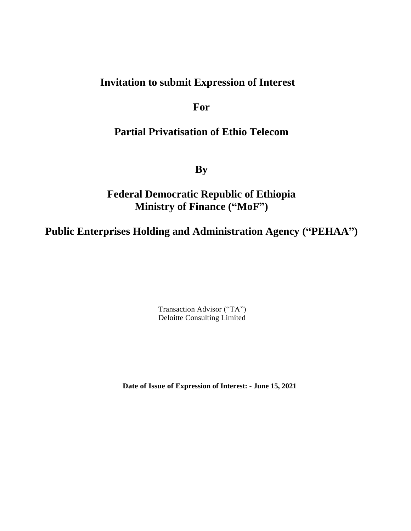# **Invitation to submit Expression of Interest**

**For**

# **Partial Privatisation of Ethio Telecom**

**By**

# **Federal Democratic Republic of Ethiopia Ministry of Finance ("MoF")**

**Public Enterprises Holding and Administration Agency ("PEHAA")**

Transaction Advisor ("TA") Deloitte Consulting Limited

 **Date of Issue of Expression of Interest: - June 15, 2021**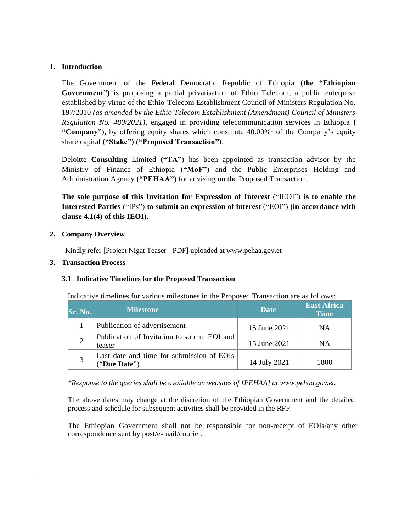## **1. Introduction**

The Government of the Federal Democratic Republic of Ethiopia **(the "Ethiopian Government")** is proposing a partial privatisation of Ethio Telecom, a public enterprise established by virtue of the Ethio-Telecom Establishment Council of Ministers Regulation No. 197/2010 *(as amended by the Ethio Telecom Establishment (Amendment) Council of Ministers Regulation No. 480/2021),* engaged in providing telecommunication services in Ethiopia **(**  "Company"), by offering equity shares which constitute 40.00%<sup>1</sup> of the Company's equity share capital **("Stake") ("Proposed Transaction")**.

Deloitte **Consulting** Limited **("TA")** has been appointed as transaction advisor by the Ministry of Finance of Ethiopia **("MoF")** and the Public Enterprises Holding and Administration Agency **("PEHAA")** for advising on the Proposed Transaction.

**The sole purpose of this Invitation for Expression of Interest** ("IEOI") **is to enable the Interested Parties** ("IPs") **to submit an expression of interest** ("EOI") **(in accordance with clause 4.1(4) of this IEOI).**

## **2. Company Overview**

Kindly refer [Project Nigat Teaser - PDF] uploaded at www.pehaa.gov.et

## **3. Transaction Process**

## **3.1 Indicative Timelines for the Proposed Transaction**

Indicative timelines for various milestones in the Proposed Transaction are as follows:

| <b>Sr. No.</b> | <b>Milestone</b>                                          | <b>Date</b>  | <b>East Africa</b><br><b>Time</b> |
|----------------|-----------------------------------------------------------|--------------|-----------------------------------|
|                | Publication of advertisement                              | 15 June 2021 | ΝA                                |
|                | Publication of Invitation to submit EOI and<br>teaser     | 15 June 2021 | ΝA                                |
|                | Last date and time for submission of EOIs<br>("Due Date") | 14 July 2021 | 1800                              |

*\*Response to the queries shall be available on websites of [PEHAA] at www.pehaa.gov.et.* 

The above dates may change at the discretion of the Ethiopian Government and the detailed process and schedule for subsequent activities shall be provided in the RFP.

The Ethiopian Government shall not be responsible for non-receipt of EOIs/any other correspondence sent by post/e-mail/courier.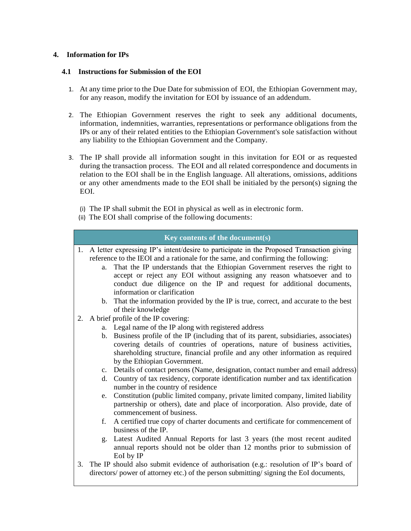## **4. Information for IPs**

## **4.1 Instructions for Submission of the EOI**

- 1. At any time prior to the Due Date for submission of EOI, the Ethiopian Government may, for any reason, modify the invitation for EOI by issuance of an addendum.
- 2. The Ethiopian Government reserves the right to seek any additional documents, information, indemnities, warranties, representations or performance obligations from the IPs or any of their related entities to the Ethiopian Government's sole satisfaction without any liability to the Ethiopian Government and the Company.
- 3. The IP shall provide all information sought in this invitation for EOI or as requested during the transaction process. The EOI and all related correspondence and documents in relation to the EOI shall be in the English language. All alterations, omissions, additions or any other amendments made to the EOI shall be initialed by the person(s) signing the EOI.
	- (i) The IP shall submit the EOI in physical as well as in electronic form.
	- (ii) The EOI shall comprise of the following documents:

# **Key contents of the document(s)**

- 1. A letter expressing IP's intent/desire to participate in the Proposed Transaction giving reference to the IEOI and a rationale for the same, and confirming the following:
	- a. That the IP understands that the Ethiopian Government reserves the right to accept or reject any EOI without assigning any reason whatsoever and to conduct due diligence on the IP and request for additional documents, information or clarification
	- b. That the information provided by the IP is true, correct, and accurate to the best of their knowledge
- 2. A brief profile of the IP covering:
	- a. Legal name of the IP along with registered address
	- b. Business profile of the IP (including that of its parent, subsidiaries, associates) covering details of countries of operations, nature of business activities, shareholding structure, financial profile and any other information as required by the Ethiopian Government.
	- c. Details of contact persons (Name, designation, contact number and email address)
	- d. Country of tax residency, corporate identification number and tax identification number in the country of residence
	- e. Constitution (public limited company, private limited company, limited liability partnership or others), date and place of incorporation. Also provide, date of commencement of business.
	- f. A certified true copy of charter documents and certificate for commencement of business of the IP.
	- g. Latest Audited Annual Reports for last 3 years (the most recent audited annual reports should not be older than 12 months prior to submission of EoI by IP
- 3. The IP should also submit evidence of authorisation (e.g.: resolution of IP's board of directors/ power of attorney etc.) of the person submitting/ signing the EoI documents,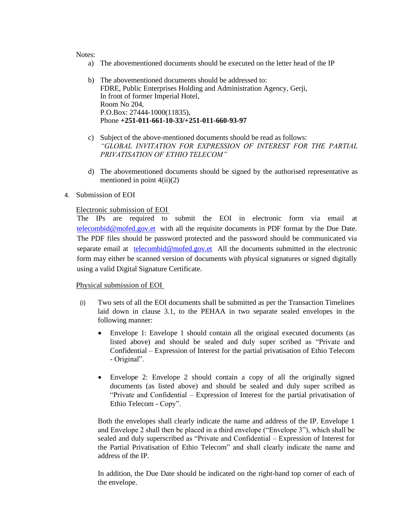#### Notes:

- a) The abovementioned documents should be executed on the letter head of the IP
- b) The abovementioned documents should be addressed to: FDRE, Public Enterprises Holding and Administration Agency, Gerji, In front of former Imperial Hotel, Room No 204, P.O.Box: 27444-1000(11835), Phone **+251-011-661-10-33/+251-011-660-93-97**
- c) Subject of the above-mentioned documents should be read as follows: *"GLOBAL INVITATION FOR EXPRESSION OF INTEREST FOR THE PARTIAL PRIVATISATION OF ETHIO TELECOM"*
- d) The abovementioned documents should be signed by the authorised representative as mentioned in point  $4(ii)(2)$

#### 4. Submission of EOI

### Electronic submission of EOI

The IPs are required to submit the EOI in electronic form via email at [telecombid@mofed.gov.et](mailto:telecombid@mofed.gov.et) with all the requisite documents in PDF format by the Due Date. The PDF files should be password protected and the password should be communicated via separate email at [telecombid@mofed.gov.et](mailto:telecombid@mofed.gov.et) All the documents submitted in the electronic form may either be scanned version of documents with physical signatures or signed digitally using a valid Digital Signature Certificate.

#### Physical submission of EOI

- (i) Two sets of all the EOI documents shall be submitted as per the Transaction Timelines laid down in clause 3.1, to the PEHAA in two separate sealed envelopes in the following manner:
	- Envelope 1: Envelope 1 should contain all the original executed documents (as listed above) and should be sealed and duly super scribed as "Private and Confidential – Expression of Interest for the partial privatisation of Ethio Telecom - Original".
	- Envelope 2: Envelope 2 should contain a copy of all the originally signed documents (as listed above) and should be sealed and duly super scribed as "Private and Confidential – Expression of Interest for the partial privatisation of Ethio Telecom - Copy".

Both the envelopes shall clearly indicate the name and address of the IP. Envelope 1 and Envelope 2 shall then be placed in a third envelope ("Envelope 3"), which shall be sealed and duly superscribed as "Private and Confidential – Expression of Interest for the Partial Privatisation of Ethio Telecom" and shall clearly indicate the name and address of the IP.

In addition, the Due Date should be indicated on the right-hand top corner of each of the envelope.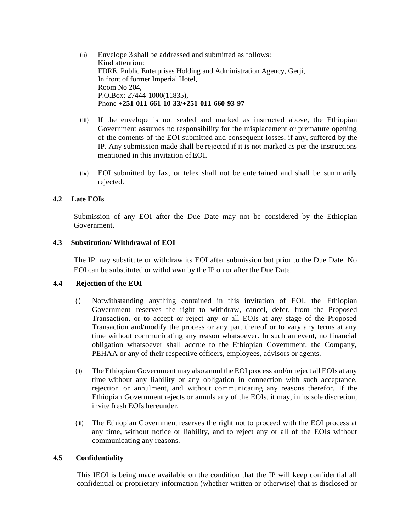- (ii) Envelope 3 shall be addressed and submitted as follows: Kind attention: FDRE, Public Enterprises Holding and Administration Agency, Gerji, In front of former Imperial Hotel, Room No 204, P.O.Box: 27444-1000(11835), Phone **+251-011-661-10-33/+251-011-660-93-97**
- (iii) If the envelope is not sealed and marked as instructed above, the Ethiopian Government assumes no responsibility for the misplacement or premature opening of the contents of the EOI submitted and consequent losses, if any, suffered by the IP. Any submission made shall be rejected if it is not marked as per the instructions mentioned in this invitation ofEOI.
- (iv) EOI submitted by fax, or telex shall not be entertained and shall be summarily rejected.

## **4.2 Late EOIs**

Submission of any EOI after the Due Date may not be considered by the Ethiopian Government.

### **4.3 Substitution/ Withdrawal of EOI**

The IP may substitute or withdraw its EOI after submission but prior to the Due Date. No EOI can be substituted or withdrawn by the IP on or after the Due Date.

#### **4.4 Rejection of the EOI**

- (i) Notwithstanding anything contained in this invitation of EOI, the Ethiopian Government reserves the right to withdraw, cancel, defer, from the Proposed Transaction, or to accept or reject any or all EOIs at any stage of the Proposed Transaction and/modify the process or any part thereof or to vary any terms at any time without communicating any reason whatsoever. In such an event, no financial obligation whatsoever shall accrue to the Ethiopian Government, the Company, PEHAA or any of their respective officers, employees, advisors or agents.
- (ii) TheEthiopian Government may also annul the EOI process and/or reject all EOIs at any time without any liability or any obligation in connection with such acceptance, rejection or annulment, and without communicating any reasons therefor. If the Ethiopian Government rejects or annuls any of the EOIs, it may, in its sole discretion, invite fresh EOIs hereunder.
- (iii) The Ethiopian Government reserves the right not to proceed with the EOI process at any time, without notice or liability, and to reject any or all of the EOIs without communicating any reasons.

### **4.5 Confidentiality**

This IEOI is being made available on the condition that the IP will keep confidential all confidential or proprietary information (whether written or otherwise) that is disclosed or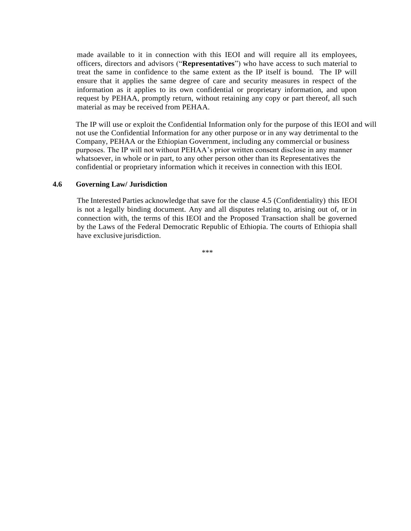made available to it in connection with this IEOI and will require all its employees, officers, directors and advisors ("**Representatives**") who have access to such material to treat the same in confidence to the same extent as the IP itself is bound. The IP will ensure that it applies the same degree of care and security measures in respect of the information as it applies to its own confidential or proprietary information, and upon request by PEHAA, promptly return, without retaining any copy or part thereof, all such material as may be received from PEHAA.

The IP will use or exploit the Confidential Information only for the purpose of this IEOI and will not use the Confidential Information for any other purpose or in any way detrimental to the Company, PEHAA or the Ethiopian Government, including any commercial or business purposes. The IP will not without PEHAA's prior written consent disclose in any manner whatsoever, in whole or in part, to any other person other than its Representatives the confidential or proprietary information which it receives in connection with this IEOI.

### **4.6 Governing Law/ Jurisdiction**

The Interested Parties acknowledge that save for the clause 4.5 (Confidentiality) this IEOI is not a legally binding document. Any and all disputes relating to, arising out of, or in connection with, the terms of this IEOI and the Proposed Transaction shall be governed by the Laws of the Federal Democratic Republic of Ethiopia. The courts of Ethiopia shall have exclusive jurisdiction.

\*\*\*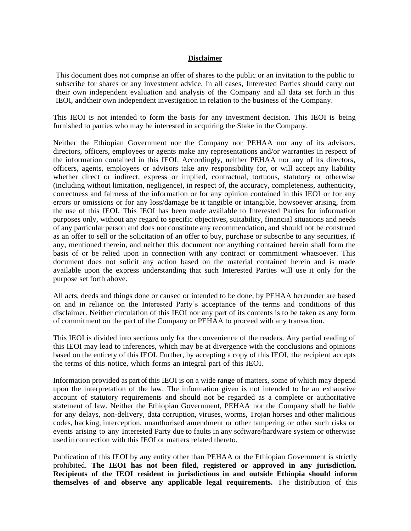#### **Disclaimer**

This document does not comprise an offer of shares to the public or an invitation to the public to subscribe for shares or any investment advice. In all cases, Interested Parties should carry out their own independent evaluation and analysis of the Company and all data set forth in this IEOI, andtheir own independent investigation in relation to the business of the Company.

This IEOI is not intended to form the basis for any investment decision. This IEOI is being furnished to parties who may be interested in acquiring the Stake in the Company.

Neither the Ethiopian Government nor the Company nor PEHAA nor any of its advisors, directors, officers, employees or agents make any representations and/or warranties in respect of the information contained in this IEOI. Accordingly, neither PEHAA nor any of its directors, officers, agents, employees or advisors take any responsibility for, or will accept any liability whether direct or indirect, express or implied, contractual, tortuous, statutory or otherwise (including without limitation, negligence), in respect of, the accuracy, completeness, authenticity, correctness and fairness of the information or for any opinion contained in this IEOI or for any errors or omissions or for any loss/damage be it tangible or intangible, howsoever arising, from the use of this IEOI. This IEOI has been made available to Interested Parties for information purposes only, without any regard to specific objectives, suitability, financial situations and needs of any particular person and does not constitute any recommendation, and should not be construed as an offer to sell or the solicitation of an offer to buy, purchase or subscribe to any securities, if any, mentioned therein, and neither this document nor anything contained herein shall form the basis of or be relied upon in connection with any contract or commitment whatsoever. This document does not solicit any action based on the material contained herein and is made available upon the express understanding that such Interested Parties will use it only for the purpose set forth above.

All acts, deeds and things done or caused or intended to be done, by PEHAA hereunder are based on and in reliance on the Interested Party's acceptance of the terms and conditions of this disclaimer. Neither circulation of this IEOI nor any part of its contents is to be taken as any form of commitment on the part of the Company or PEHAA to proceed with any transaction.

This IEOI is divided into sections only for the convenience of the readers. Any partial reading of this IEOI may lead to inferences, which may be at divergence with the conclusions and opinions based on the entirety of this IEOI. Further, by accepting a copy of this IEOI, the recipient accepts the terms of this notice, which forms an integral part of this IEOI.

Information provided as part of this IEOI is on a wide range of matters, some of which may depend upon the interpretation of the law. The information given is not intended to be an exhaustive account of statutory requirements and should not be regarded as a complete or authoritative statement of law. Neither the Ethiopian Government, PEHAA nor the Company shall be liable for any delays, non-delivery, data corruption, viruses, worms, Trojan horses and other malicious codes, hacking, interception, unauthorised amendment or other tampering or other such risks or events arising to any Interested Party due to faults in any software/hardware system or otherwise used in connection with this IEOI or matters related thereto.

Publication of this IEOI by any entity other than PEHAA or the Ethiopian Government is strictly prohibited. **The IEOI has not been filed, registered or approved in any jurisdiction. Recipients of the IEOI resident in jurisdictions in and outside Ethiopia should inform themselves of and observe any applicable legal requirements.** The distribution of this